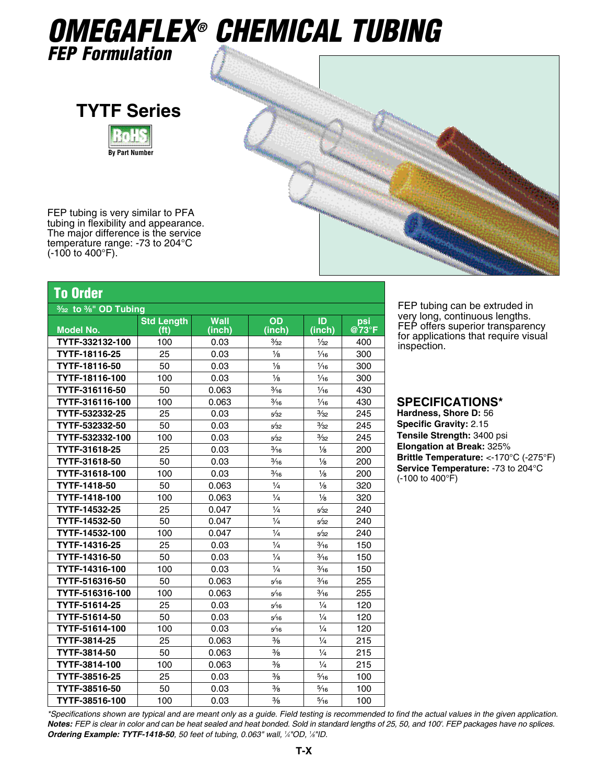## *OMEGAFLEX® Chemical Tubing*

*FEP Formulation*





FEP tubing is very similar to PFA tubing in flexibility and appearance. The major difference is the service temperature range: -73 to 204°C  $(-100 \text{ to } 400^{\circ} \text{F}).$ 

| <b>To Order</b>                                             |                                        |                       |                |                |              |  |  |  |  |
|-------------------------------------------------------------|----------------------------------------|-----------------------|----------------|----------------|--------------|--|--|--|--|
| 3/ <sub>32</sub> to <sup>3</sup> / <sub>8</sub> " OD Tubing |                                        |                       |                |                |              |  |  |  |  |
| <b>Model No.</b>                                            | <b>Std Length</b><br>(f <sup>t</sup> ) | <b>Wall</b><br>(inch) | OD<br>(inch)   | ID<br>(inch)   | psi<br>@73°F |  |  |  |  |
| TYTF-332132-100                                             | 100                                    | 0.03                  | $\frac{3}{32}$ | $\frac{1}{32}$ | 400          |  |  |  |  |
| TYTF-18116-25                                               | 25                                     | 0.03                  | $\frac{1}{8}$  | $\frac{1}{16}$ | 300          |  |  |  |  |
| TYTF-18116-50                                               | 50                                     | 0.03                  | $\frac{1}{8}$  | $\frac{1}{16}$ | 300          |  |  |  |  |
| TYTF-18116-100                                              | 100                                    | 0.03                  | $\frac{1}{8}$  | $\frac{1}{16}$ | 300          |  |  |  |  |
| TYTF-316116-50                                              | 50                                     | 0.063                 | $\frac{3}{16}$ | $\frac{1}{16}$ | 430          |  |  |  |  |
| TYTF-316116-100                                             | 100                                    | 0.063                 | $\frac{3}{16}$ | $\frac{1}{16}$ | 430          |  |  |  |  |
| TYTF-532332-25                                              | 25                                     | 0.03                  | 5/32           | $\frac{3}{32}$ | 245          |  |  |  |  |
| TYTF-532332-50                                              | 50                                     | 0.03                  | 5/32           | $\frac{3}{32}$ | 245          |  |  |  |  |
| TYTF-532332-100                                             | 100                                    | 0.03                  | 5/32           | $\frac{3}{32}$ | 245          |  |  |  |  |
| TYTF-31618-25                                               | 25                                     | 0.03                  | $\frac{3}{16}$ | $\frac{1}{8}$  | 200          |  |  |  |  |
| TYTF-31618-50                                               | 50                                     | 0.03                  | $\frac{3}{16}$ | $\frac{1}{8}$  | 200          |  |  |  |  |
| TYTF-31618-100                                              | 100                                    | 0.03                  | $\frac{3}{16}$ | $\frac{1}{8}$  | 200          |  |  |  |  |
| TYTF-1418-50                                                | 50                                     | 0.063                 | $\frac{1}{4}$  | $\frac{1}{8}$  | 320          |  |  |  |  |
| TYTF-1418-100                                               | 100                                    | 0.063                 | $\frac{1}{4}$  | $\frac{1}{8}$  | 320          |  |  |  |  |
| TYTF-14532-25                                               | 25                                     | 0.047                 | $\frac{1}{4}$  | 5/32           | 240          |  |  |  |  |
| TYTF-14532-50                                               | 50                                     | 0.047                 | $\frac{1}{4}$  | 5/32           | 240          |  |  |  |  |
| TYTF-14532-100                                              | 100                                    | 0.047                 | $\frac{1}{4}$  | 5/32           | 240          |  |  |  |  |
| TYTF-14316-25                                               | 25                                     | 0.03                  | $\frac{1}{4}$  | $\frac{3}{16}$ | 150          |  |  |  |  |
| TYTF-14316-50                                               | 50                                     | 0.03                  | $\frac{1}{4}$  | $\frac{3}{16}$ | 150          |  |  |  |  |
| TYTF-14316-100                                              | 100                                    | 0.03                  | $\frac{1}{4}$  | $\frac{3}{16}$ | 150          |  |  |  |  |
| TYTF-516316-50                                              | 50                                     | 0.063                 | 5/16           | $\frac{3}{16}$ | 255          |  |  |  |  |
| TYTF-516316-100                                             | 100                                    | 0.063                 | 5/16           | $\frac{3}{16}$ | 255          |  |  |  |  |
| TYTF-51614-25                                               | 25                                     | 0.03                  | 5/16           | $\frac{1}{4}$  | 120          |  |  |  |  |
| TYTF-51614-50                                               | 50                                     | 0.03                  | 5/16           | $\frac{1}{4}$  | 120          |  |  |  |  |
| TYTF-51614-100                                              | 100                                    | 0.03                  | 5/16           | $\frac{1}{4}$  | 120          |  |  |  |  |
| TYTF-3814-25                                                | 25                                     | 0.063                 | $\frac{3}{8}$  | $\frac{1}{4}$  | 215          |  |  |  |  |
| TYTF-3814-50                                                | 50                                     | 0.063                 | $\frac{3}{8}$  | $\frac{1}{4}$  | 215          |  |  |  |  |
| TYTF-3814-100                                               | 100                                    | 0.063                 | $\frac{3}{8}$  | $\frac{1}{4}$  | 215          |  |  |  |  |

**TYTF-38516-25** 25 0.03 <sup>3</sup>/<sub>8</sub> 5<sup>*/*16</sup> 100 **TYTF-38516-50** 50 0.03  $\frac{3}{6}$  5<sup> $\frac{1}{100}$ </sup> **TYTF-38516-100** 100 0.03  $\frac{1}{26}$  100

FEP tubing can be extruded in very long, continuous lengths. FEP offers superior transparency for applications that require visual inspection.

## **Specifications\***

**Hardness, Shore D:** 56 **Specific Gravity:** 2.15 **Tensile Strength:** 3400 psi **Elongation at Break:** 325% **Brittle Temperature:** <-170°C (-275°F) **Service Temperature:** -73 to 204°C (-100 to 400°F)

*\*Specifications shown are typical and are meant only as a guide. Field testing is recommended to find the actual values in the given application. Notes: FEP is clear in color and can be heat sealed and heat bonded. Sold in standard lengths of 25, 50, and 100'. FEP packages have no splices. Ordering Example: TYTF-1418-50, 50 feet of tubing, 0.063" wall, 1 ⁄4"OD, 1 ⁄8"ID.*